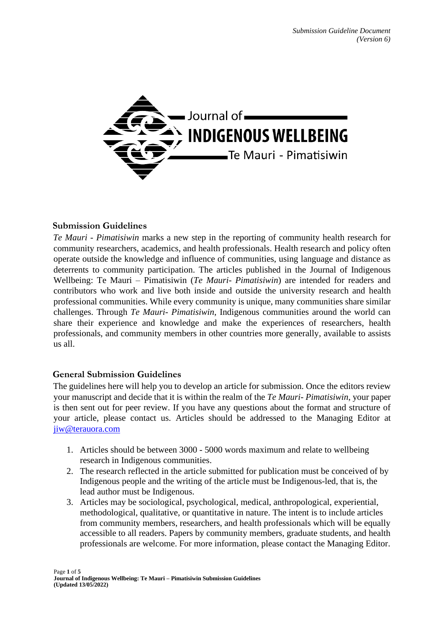

## **Submission Guidelines**

*Te Mauri - Pimatisiwin* marks a new step in the reporting of community health research for community researchers, academics, and health professionals. Health research and policy often operate outside the knowledge and influence of communities, using language and distance as deterrents to community participation. The articles published in the Journal of Indigenous Wellbeing: Te Mauri – Pimatisiwin (*Te Mauri- Pimatisiwin*) are intended for readers and contributors who work and live both inside and outside the university research and health professional communities. While every community is unique, many communities share similar challenges. Through *Te Mauri- Pimatisiwin*, Indigenous communities around the world can share their experience and knowledge and make the experiences of researchers, health professionals, and community members in other countries more generally, available to assists us all.

## **General Submission Guidelines**

The guidelines here will help you to develop an article for submission. Once the editors review your manuscript and decide that it is within the realm of the *Te Mauri- Pimatisiwin*, your paper is then sent out for peer review. If you have any questions about the format and structure of your article, please contact us. Articles should be addressed to the Managing Editor at jiw@terauora.com

- 1. Articles should be between 3000 5000 words maximum and relate to wellbeing research in Indigenous communities.
- 2. The research reflected in the article submitted for publication must be conceived of by Indigenous people and the writing of the article must be Indigenous-led, that is, the lead author must be Indigenous.
- 3. Articles may be sociological, psychological, medical, anthropological, experiential, methodological, qualitative, or quantitative in nature. The intent is to include articles from community members, researchers, and health professionals which will be equally accessible to all readers. Papers by community members, graduate students, and health professionals are welcome. For more information, please contact the Managing Editor.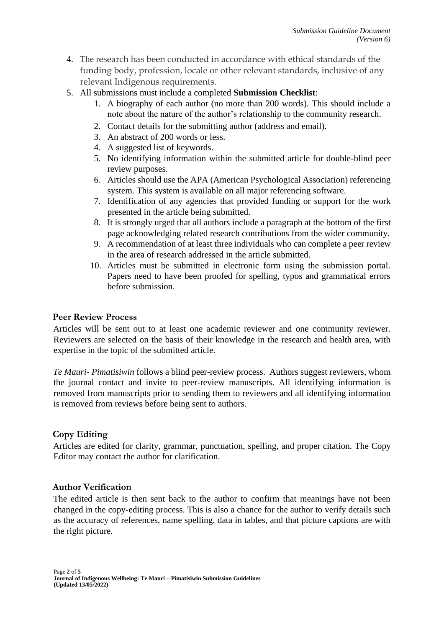- 4. The research has been conducted in accordance with ethical standards of the funding body, profession, locale or other relevant standards, inclusive of any relevant Indigenous requirements.
- 5. All submissions must include a completed **Submission Checklist**:
	- 1. A biography of each author (no more than 200 words). This should include a note about the nature of the author's relationship to the community research.
	- 2. Contact details for the submitting author (address and email).
	- 3. An abstract of 200 words or less.
	- 4. A suggested list of keywords.
	- 5. No identifying information within the submitted article for double-blind peer review purposes.
	- 6. Articles should use the APA (American Psychological Association) referencing system. This system is available on all major referencing software.
	- 7. Identification of any agencies that provided funding or support for the work presented in the article being submitted.
	- 8. It is strongly urged that all authors include a paragraph at the bottom of the first page acknowledging related research contributions from the wider community.
	- 9. A recommendation of at least three individuals who can complete a peer review in the area of research addressed in the article submitted.
	- 10. Articles must be submitted in electronic form using the submission portal. Papers need to have been proofed for spelling, typos and grammatical errors before submission.

## **Peer Review Process**

Articles will be sent out to at least one academic reviewer and one community reviewer. Reviewers are selected on the basis of their knowledge in the research and health area, with expertise in the topic of the submitted article.

*Te Mauri- Pimatisiwin* follows a blind peer-review process. Authors suggest reviewers, whom the journal contact and invite to peer-review manuscripts. All identifying information is removed from manuscripts prior to sending them to reviewers and all identifying information is removed from reviews before being sent to authors.

## **Copy Editing**

Articles are edited for clarity, grammar, punctuation, spelling, and proper citation. The Copy Editor may contact the author for clarification.

## **Author Verification**

The edited article is then sent back to the author to confirm that meanings have not been changed in the copy-editing process. This is also a chance for the author to verify details such as the accuracy of references, name spelling, data in tables, and that picture captions are with the right picture.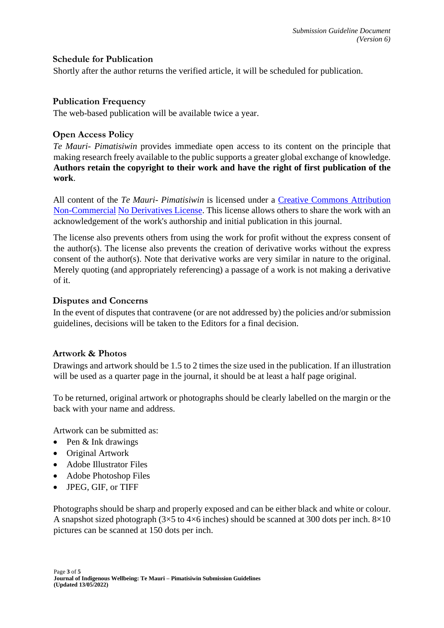### **Schedule for Publication**

Shortly after the author returns the verified article, it will be scheduled for publication.

### **Publication Frequency**

The web-based publication will be available twice a year.

## **Open Access Policy**

*Te Mauri- Pimatisiwin* provides immediate open access to its content on the principle that making research freely available to the public supports a greater global exchange of knowledge. **Authors retain the copyright to their work and have the right of first publication of the work**.

All content of the *Te Mauri- Pimatisiwin* is licensed under a [Creative Commons Attribution](http://creativecommons.org/licenses/by-nc-nd/3.0/)  [Non-Commercial](http://creativecommons.org/licenses/by-nc-nd/3.0/) [No Derivatives License.](http://creativecommons.org/licenses/by-nc-nd/3.0/) This license allows others to share the work with an acknowledgement of the work's authorship and initial publication in this journal.

The license also prevents others from using the work for profit without the express consent of the author(s). The license also prevents the creation of derivative works without the express consent of the author(s). Note that derivative works are very similar in nature to the original. Merely quoting (and appropriately referencing) a passage of a work is not making a derivative of it.

### **Disputes and Concerns**

In the event of disputes that contravene (or are not addressed by) the policies and/or submission guidelines, decisions will be taken to the Editors for a final decision.

### **Artwork & Photos**

Drawings and artwork should be 1.5 to 2 times the size used in the publication. If an illustration will be used as a quarter page in the journal, it should be at least a half page original.

To be returned, original artwork or photographs should be clearly labelled on the margin or the back with your name and address.

Artwork can be submitted as:

- Pen & Ink drawings
- Original Artwork
- Adobe Illustrator Files
- Adobe Photoshop Files
- JPEG, GIF, or TIFF

Photographs should be sharp and properly exposed and can be either black and white or colour. A snapshot sized photograph  $(3\times5$  to  $4\times6$  inches) should be scanned at 300 dots per inch.  $8\times10$ pictures can be scanned at 150 dots per inch.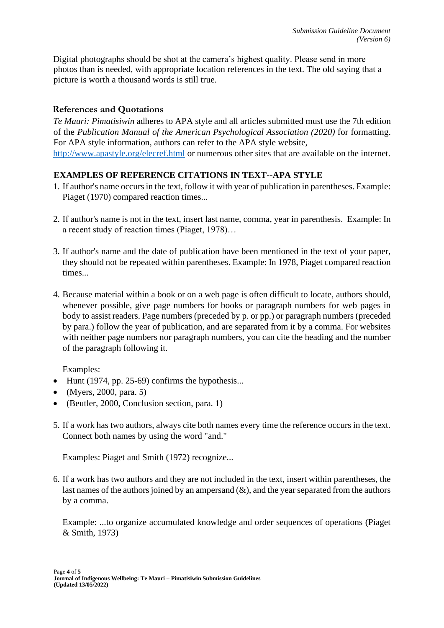Digital photographs should be shot at the camera's highest quality. Please send in more photos than is needed, with appropriate location references in the text. The old saying that a picture is worth a thousand words is still true.

# **References and Quotations**

*Te Mauri: Pimatisiwin* adheres to APA style and all articles submitted must use the 7th edition of the *Publication Manual of the American Psychological Association (2020)* for formatting. For APA style information, authors can refer to the APA style website, <http://www.apastyle.org/elecref.html> or numerous other sites that are available on the internet.

## **EXAMPLES OF REFERENCE CITATIONS IN TEXT--APA STYLE**

- 1. If author's name occurs in the text, follow it with year of publication in parentheses. Example: Piaget (1970) compared reaction times...
- 2. If author's name is not in the text, insert last name, comma, year in parenthesis. Example: In a recent study of reaction times (Piaget, 1978)…
- 3. If author's name and the date of publication have been mentioned in the text of your paper, they should not be repeated within parentheses. Example: In 1978, Piaget compared reaction times...
- 4. Because material within a book or on a web page is often difficult to locate, authors should, whenever possible, give page numbers for books or paragraph numbers for web pages in body to assist readers. Page numbers (preceded by p. or pp.) or paragraph numbers (preceded by para.) follow the year of publication, and are separated from it by a comma. For websites with neither page numbers nor paragraph numbers, you can cite the heading and the number of the paragraph following it.

Examples:

- Hunt (1974, pp. 25-69) confirms the hypothesis...
- (Myers, 2000, para. 5)
- (Beutler, 2000, Conclusion section, para. 1)
- 5. If a work has two authors, always cite both names every time the reference occurs in the text. Connect both names by using the word "and."

Examples: Piaget and Smith (1972) recognize...

6. If a work has two authors and they are not included in the text, insert within parentheses, the last names of the authors joined by an ampersand  $(\&)$ , and the year separated from the authors by a comma.

Example: ...to organize accumulated knowledge and order sequences of operations (Piaget & Smith, 1973)